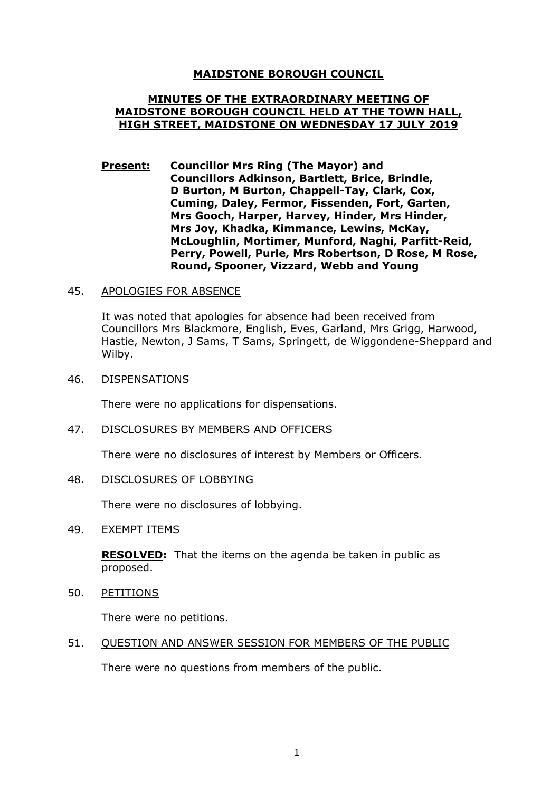# **MAIDSTONE BOROUGH COUNCIL**

## **MINUTES OF THE EXTRAORDINARY MEETING OF MAIDSTONE BOROUGH COUNCIL HELD AT THE TOWN HALL, HIGH STREET, MAIDSTONE ON WEDNESDAY 17 JULY 2019**

**Present: Councillor Mrs Ring (The Mayor) and Councillors Adkinson, Bartlett, Brice, Brindle, D Burton, M Burton, Chappell-Tay, Clark, Cox, Cuming, Daley, Fermor, Fissenden, Fort, Garten, Mrs Gooch, Harper, Harvey, Hinder, Mrs Hinder, Mrs Joy, Khadka, Kimmance, Lewins, McKay, McLoughlin, Mortimer, Munford, Naghi, Parfitt-Reid, Perry, Powell, Purle, Mrs Robertson, D Rose, M Rose, Round, Spooner, Vizzard, Webb and Young**

## 45. APOLOGIES FOR ABSENCE

It was noted that apologies for absence had been received from Councillors Mrs Blackmore, English, Eves, Garland, Mrs Grigg, Harwood, Hastie, Newton, J Sams, T Sams, Springett, de Wiggondene-Sheppard and Wilby.

#### 46. DISPENSATIONS

There were no applications for dispensations.

## 47. DISCLOSURES BY MEMBERS AND OFFICERS

There were no disclosures of interest by Members or Officers.

#### 48. DISCLOSURES OF LOBBYING

There were no disclosures of lobbying.

## 49. EXEMPT ITEMS

**RESOLVED:** That the items on the agenda be taken in public as proposed.

50. PETITIONS

There were no petitions.

## 51. QUESTION AND ANSWER SESSION FOR MEMBERS OF THE PUBLIC

There were no questions from members of the public.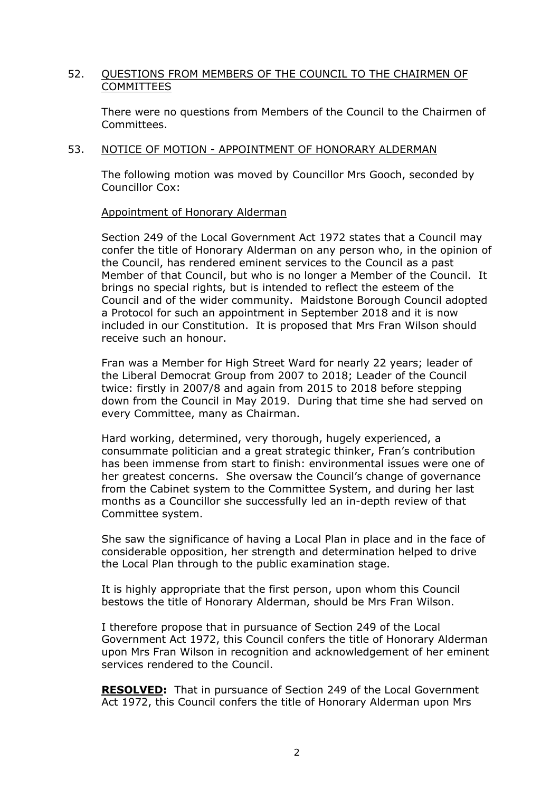# 52. QUESTIONS FROM MEMBERS OF THE COUNCIL TO THE CHAIRMEN OF COMMITTEES

There were no questions from Members of the Council to the Chairmen of Committees.

## 53. NOTICE OF MOTION - APPOINTMENT OF HONORARY ALDERMAN

The following motion was moved by Councillor Mrs Gooch, seconded by Councillor Cox:

Appointment of Honorary Alderman

Section 249 of the Local Government Act 1972 states that a Council may confer the title of Honorary Alderman on any person who, in the opinion of the Council, has rendered eminent services to the Council as a past Member of that Council, but who is no longer a Member of the Council. It brings no special rights, but is intended to reflect the esteem of the Council and of the wider community. Maidstone Borough Council adopted a Protocol for such an appointment in September 2018 and it is now included in our Constitution. It is proposed that Mrs Fran Wilson should receive such an honour.

Fran was a Member for High Street Ward for nearly 22 years; leader of the Liberal Democrat Group from 2007 to 2018; Leader of the Council twice: firstly in 2007/8 and again from 2015 to 2018 before stepping down from the Council in May 2019. During that time she had served on every Committee, many as Chairman.

Hard working, determined, very thorough, hugely experienced, a consummate politician and a great strategic thinker, Fran's contribution has been immense from start to finish: environmental issues were one of her greatest concerns. She oversaw the Council's change of governance from the Cabinet system to the Committee System, and during her last months as a Councillor she successfully led an in-depth review of that Committee system.

She saw the significance of having a Local Plan in place and in the face of considerable opposition, her strength and determination helped to drive the Local Plan through to the public examination stage.

It is highly appropriate that the first person, upon whom this Council bestows the title of Honorary Alderman, should be Mrs Fran Wilson.

I therefore propose that in pursuance of Section 249 of the Local Government Act 1972, this Council confers the title of Honorary Alderman upon Mrs Fran Wilson in recognition and acknowledgement of her eminent services rendered to the Council.

**RESOLVED:** That in pursuance of Section 249 of the Local Government Act 1972, this Council confers the title of Honorary Alderman upon Mrs